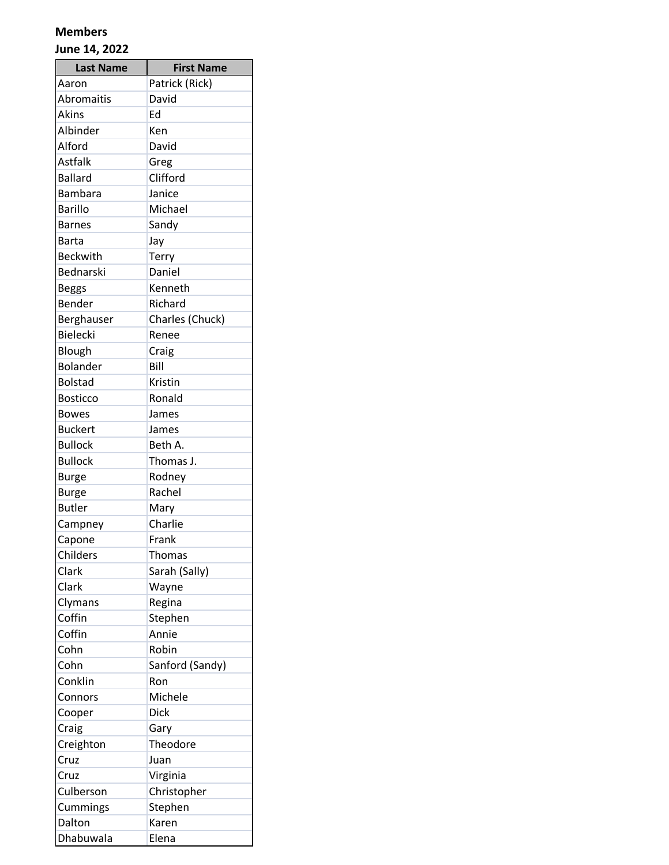| <b>Last Name</b>  | <b>First Name</b> |
|-------------------|-------------------|
| Aaron             | Patrick (Rick)    |
| <b>Abromaitis</b> | David             |
| Akins             | Ed                |
| Albinder          | Ken               |
| Alford            | David             |
| <b>Astfalk</b>    | Greg              |
| <b>Ballard</b>    | Clifford          |
| <b>Bambara</b>    | Janice            |
| <b>Barillo</b>    | Michael           |
| <b>Barnes</b>     | Sandy             |
| Barta             | Jay               |
| <b>Beckwith</b>   | Terry             |
| Bednarski         | Daniel            |
| <b>Beggs</b>      | Kenneth           |
| Bender            | Richard           |
| Berghauser        | Charles (Chuck)   |
| <b>Bielecki</b>   | Renee             |
| Blough            | Craig             |
| <b>Bolander</b>   | Bill              |
| <b>Bolstad</b>    | Kristin           |
| <b>Bosticco</b>   | Ronald            |
| <b>Bowes</b>      | James             |
| <b>Buckert</b>    | James             |
| <b>Bullock</b>    | Beth A.           |
| <b>Bullock</b>    | Thomas J.         |
| <b>Burge</b>      | Rodney            |
| <b>Burge</b>      | Rachel            |
| <b>Butler</b>     | Mary              |
| Campney           | Charlie           |
| Capone            | Frank             |
| Childers          | Thomas            |
| Clark             | Sarah (Sally)     |
| Clark             | Wayne             |
| Clymans           | Regina            |
| Coffin            | Stephen           |
| Coffin            | Annie             |
| Cohn              | Robin             |
| Cohn              | Sanford (Sandy)   |
| Conklin           | Ron               |
| Connors           | Michele           |
| Cooper            | <b>Dick</b>       |
| Craig             | Gary              |
| Creighton         | Theodore          |
| Cruz              | Juan              |
| Cruz              | Virginia          |
| Culberson         | Christopher       |
| Cummings          | Stephen           |
| Dalton            | Karen             |
| Dhabuwala         | Elena             |
|                   |                   |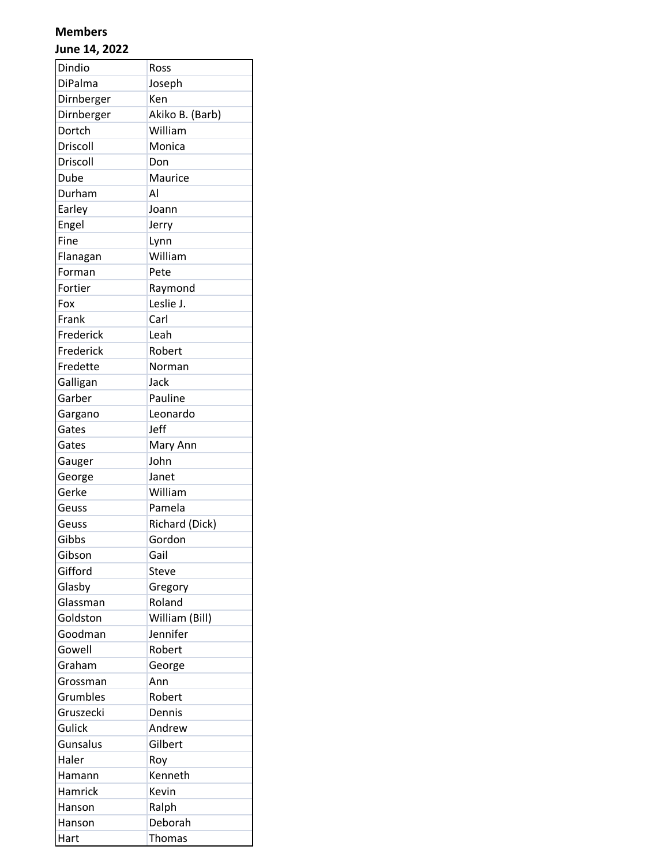| Dindio     | Ross            |
|------------|-----------------|
| DiPalma    | Joseph          |
| Dirnberger | Ken             |
| Dirnberger | Akiko B. (Barb) |
| Dortch     | William         |
| Driscoll   | Monica          |
| Driscoll   | Don             |
| Dube       | Maurice         |
| Durham     | Al              |
| Earley     | Joann           |
| Engel      | Jerry           |
| Fine       | Lynn            |
| Flanagan   | William         |
| Forman     | Pete            |
| Fortier    | Raymond         |
| Fox        | Leslie J.       |
| Frank      | Carl            |
| Frederick  | Leah            |
| Frederick  | Robert          |
| Fredette   | Norman          |
| Galligan   | Jack            |
| Garber     | Pauline         |
| Gargano    | Leonardo        |
| Gates      | Jeff            |
| Gates      | Mary Ann        |
| Gauger     | John            |
| George     | Janet           |
| Gerke      | William         |
| Geuss      | Pamela          |
| Geuss      | Richard (Dick)  |
| Gibbs      | Gordon          |
| Gibson     | Gail            |
| Gifford    | Steve           |
| Glasby     | Gregory         |
| Glassman   | Roland          |
| Goldston   | William (Bill)  |
| Goodman    | Jennifer        |
| Gowell     | Robert          |
| Graham     | George          |
| Grossman   | Ann             |
| Grumbles   | Robert          |
| Gruszecki  | Dennis          |
| Gulick     | Andrew          |
| Gunsalus   | Gilbert         |
| Haler      | Roy             |
| Hamann     | Kenneth         |
| Hamrick    | Kevin           |
| Hanson     | Ralph           |
| Hanson     | Deborah         |
| Hart       | <b>Thomas</b>   |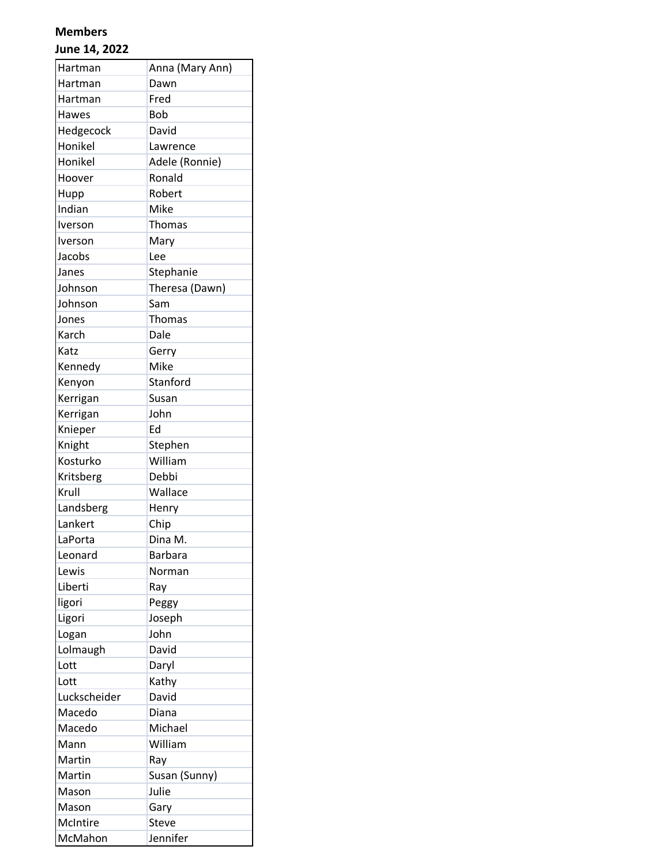| Hartman      | Anna (Mary Ann) |
|--------------|-----------------|
| Hartman      | Dawn            |
| Hartman      | Fred            |
| Hawes        | <b>Bob</b>      |
| Hedgecock    | David           |
| Honikel      | Lawrence        |
| Honikel      | Adele (Ronnie)  |
| Hoover       | Ronald          |
| Hupp         | Robert          |
| Indian       | Mike            |
| Iverson      | Thomas          |
| Iverson      | Mary            |
| Jacobs       | Lee             |
| Janes        | Stephanie       |
| Johnson      | Theresa (Dawn)  |
| Johnson      | Sam             |
| Jones        | Thomas          |
| Karch        | Dale            |
| Katz         | Gerry           |
| Kennedy      | Mike            |
| Kenyon       | Stanford        |
| Kerrigan     | Susan           |
| Kerrigan     | John            |
| Knieper      | Ed              |
| Knight       | Stephen         |
| Kosturko     | William         |
| Kritsberg    | Debbi           |
| Krull        | Wallace         |
| Landsberg    | Henry           |
| Lankert      | Chip            |
| LaPorta      | Dina M.         |
| Leonard      | <b>Barbara</b>  |
| Lewis        | Norman          |
| Liberti      | Ray             |
| ligori       | Peggy           |
| Ligori       | Joseph          |
| Logan        | John            |
| Lolmaugh     | David           |
| Lott         | Daryl           |
| Lott         | Kathy           |
| Luckscheider | David           |
| Macedo       | Diana           |
| Macedo       | Michael         |
| Mann         | William         |
| Martin       | Ray             |
| Martin       | Susan (Sunny)   |
| Mason        | Julie           |
| Mason        | Gary            |
| McIntire     | Steve           |
| McMahon      | Jennifer        |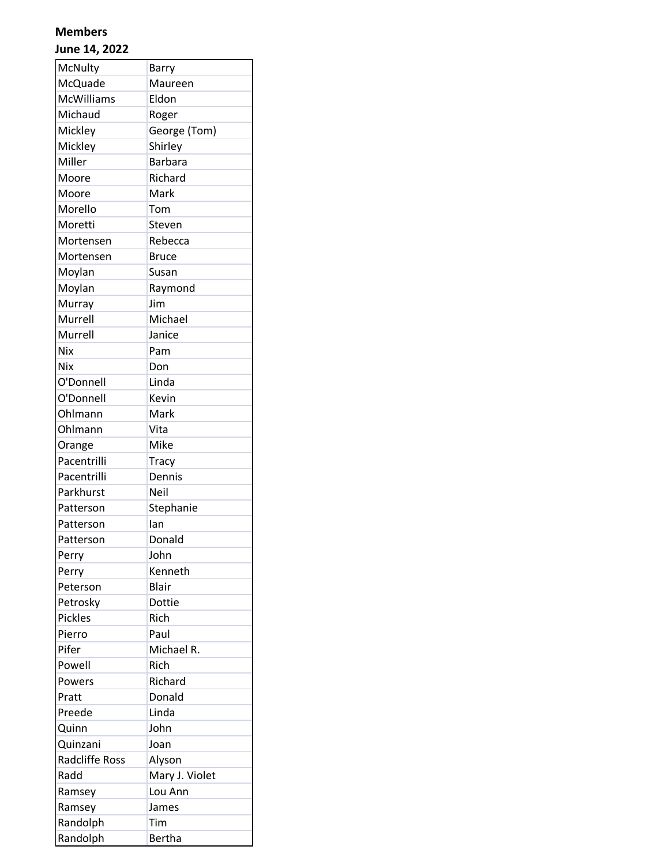| McNulty           | <b>Barry</b>   |
|-------------------|----------------|
| McQuade           | Maureen        |
| <b>McWilliams</b> | Eldon          |
| Michaud           | Roger          |
| Mickley           | George (Tom)   |
| Mickley           | Shirley        |
| Miller            | <b>Barbara</b> |
| Moore             | Richard        |
| Moore             | Mark           |
| Morello           | Tom            |
| Moretti           | Steven         |
| Mortensen         | Rebecca        |
| Mortensen         | <b>Bruce</b>   |
| Moylan            | Susan          |
| Moylan            | Raymond        |
| Murray            | Jim            |
| Murrell           | Michael        |
| Murrell           | Janice         |
| Nix               | Pam            |
| Nix               | Don            |
| O'Donnell         | Linda          |
| O'Donnell         | Kevin          |
| Ohlmann           | Mark           |
| Ohlmann           | Vita           |
| Orange            | Mike           |
| Pacentrilli       | <b>Tracy</b>   |
| Pacentrilli       | Dennis         |
| Parkhurst         | Neil           |
| Patterson         | Stephanie      |
| Patterson         | lan            |
| Patterson         | Donald         |
| Perry             | John           |
| Perry             | Kenneth        |
| Peterson          | <b>Blair</b>   |
| Petrosky          | Dottie         |
| <b>Pickles</b>    | Rich           |
| Pierro            | Paul           |
| Pifer             | Michael R.     |
| Powell            | Rich           |
| Powers            | Richard        |
| Pratt             | Donald         |
| Preede            | Linda          |
| Quinn             | John           |
| Quinzani          | Joan           |
| Radcliffe Ross    | Alyson         |
| Radd              | Mary J. Violet |
| Ramsey            | Lou Ann        |
| Ramsey            | James          |
| Randolph          | Tim            |
| Randolph          | Bertha         |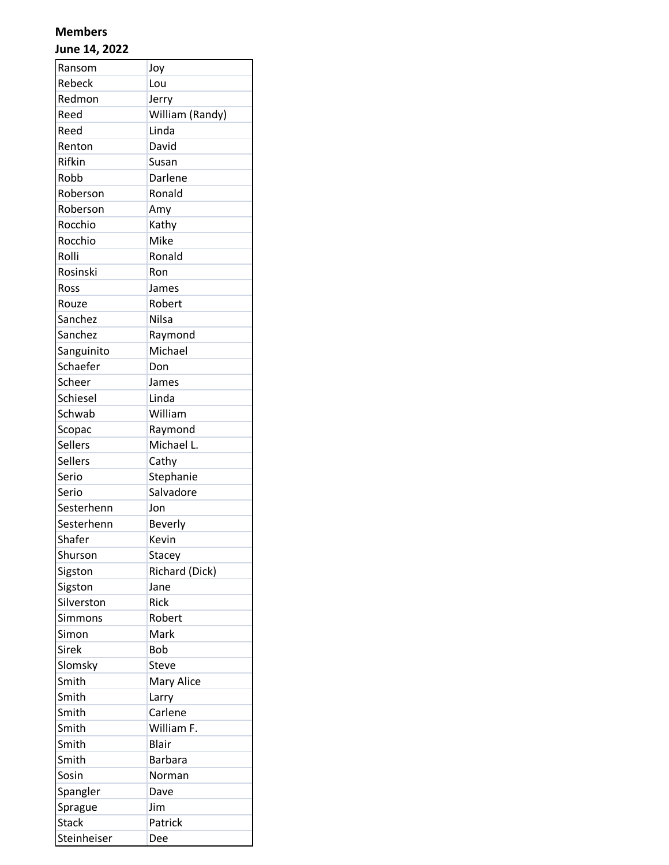| Ransom         | Joy             |
|----------------|-----------------|
| Rebeck         | Lou             |
| Redmon         | Jerry           |
| Reed           | William (Randy) |
| Reed           | Linda           |
| Renton         | David           |
| Rifkin         | Susan           |
| Robb           | Darlene         |
| Roberson       | Ronald          |
| Roberson       | Amy             |
| Rocchio        | Kathy           |
| Rocchio        | Mike            |
| Rolli          | Ronald          |
| Rosinski       | Ron             |
| Ross           | James           |
| Rouze          | Robert          |
| Sanchez        | <b>Nilsa</b>    |
| Sanchez        | Raymond         |
| Sanguinito     | Michael         |
| Schaefer       | Don             |
| Scheer         | James           |
| Schiesel       | Linda           |
| Schwab         | William         |
| Scopac         | Raymond         |
| Sellers        | Michael L.      |
| <b>Sellers</b> | Cathy           |
| Serio          | Stephanie       |
| Serio          | Salvadore       |
| Sesterhenn     | Jon             |
| Sesterhenn     | Beverly         |
| Shafer         | Kevin           |
| Shurson        | Stacey          |
| Sigston        | Richard (Dick)  |
| Sigston        | Jane            |
| Silverston     | Rick            |
| Simmons        | Robert          |
| Simon          | Mark            |
| Sirek          | <b>Bob</b>      |
| Slomsky        | Steve           |
| Smith          | Mary Alice      |
| Smith          | Larry           |
| Smith          | Carlene         |
| Smith          | William F.      |
| Smith          | <b>Blair</b>    |
| Smith          | <b>Barbara</b>  |
| Sosin          | Norman          |
| Spangler       | Dave            |
| Sprague        | Jim             |
| <b>Stack</b>   | Patrick         |
| Steinheiser    | Dee             |